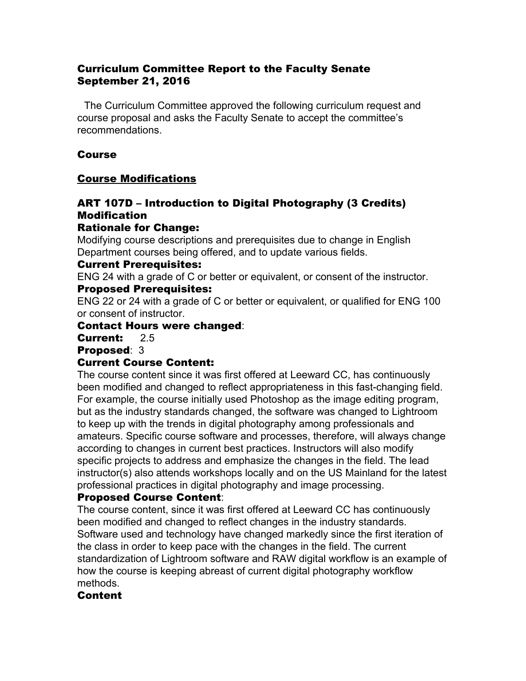#### Curriculum Committee Report to the Faculty Senate September 21, 2016

 The Curriculum Committee approved the following curriculum request and course proposal and asks the Faculty Senate to accept the committee's recommendations.

## Course

## Course Modifications

# ART 107D – Introduction to Digital Photography (3 Credits) Modification

## Rationale for Change:

Modifying course descriptions and prerequisites due to change in English Department courses being offered, and to update various fields.

## Current Prerequisites:

ENG 24 with a grade of C or better or equivalent, or consent of the instructor.

## Proposed Prerequisites:

ENG 22 or 24 with a grade of C or better or equivalent, or qualified for ENG 100 or consent of instructor.

## Contact Hours were changed:

#### Current: 2.5

Proposed: 3

## Current Course Content:

The course content since it was first offered at Leeward CC, has continuously been modified and changed to reflect appropriateness in this fast-changing field. For example, the course initially used Photoshop as the image editing program, but as the industry standards changed, the software was changed to Lightroom to keep up with the trends in digital photography among professionals and amateurs. Specific course software and processes, therefore, will always change according to changes in current best practices. Instructors will also modify specific projects to address and emphasize the changes in the field. The lead instructor(s) also attends workshops locally and on the US Mainland for the latest professional practices in digital photography and image processing.

## Proposed Course Content:

The course content, since it was first offered at Leeward CC has continuously been modified and changed to reflect changes in the industry standards. Software used and technology have changed markedly since the first iteration of the class in order to keep pace with the changes in the field. The current standardization of Lightroom software and RAW digital workflow is an example of how the course is keeping abreast of current digital photography workflow methods.

## Content